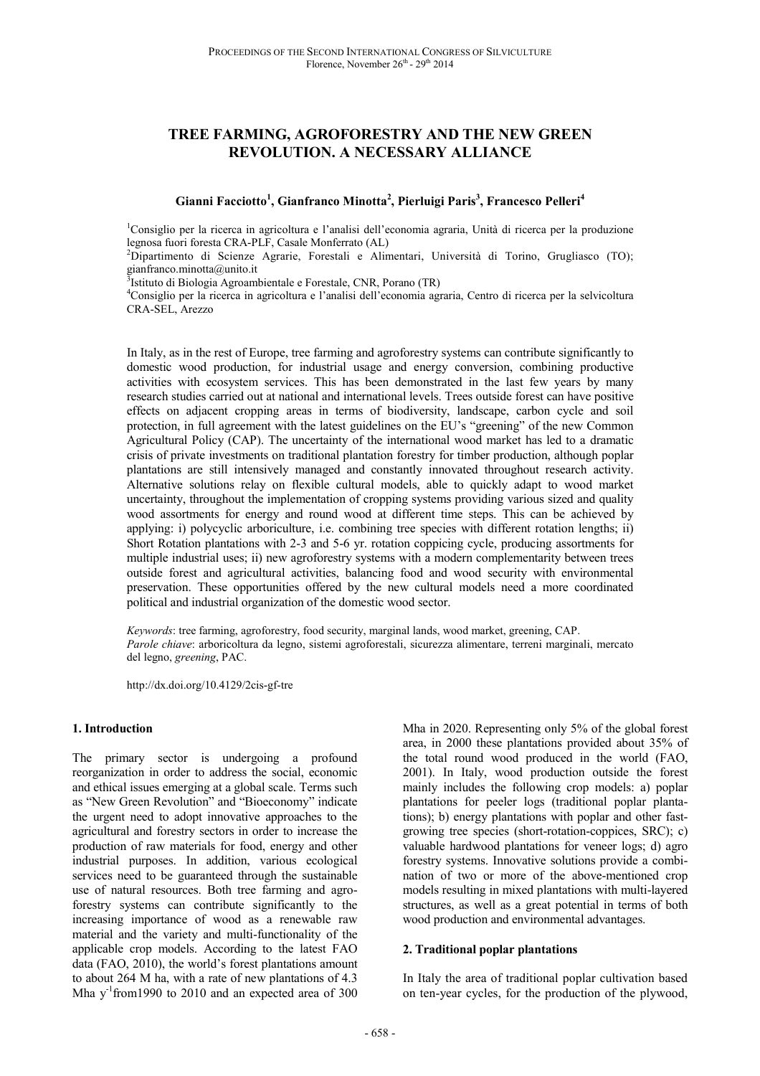# **TREE FARMING, AGROFORESTRY AND THE NEW GREEN REVOLUTION. A NECESSARY ALLIANCE**

**Gianni Facciotto<sup>1</sup> , Gianfranco Minotta<sup>2</sup> , Pierluigi Paris<sup>3</sup> , Francesco Pelleri<sup>4</sup>**

<sup>1</sup>Consiglio per la ricerca in agricoltura e l'analisi dell'economia agraria, Unità di ricerca per la produzione legnosa fuori foresta CRA-PLF, Casale Monferrato (AL)

<sup>2</sup>Dipartimento di Scienze Agrarie, Forestali e Alimentari, Università di Torino, Grugliasco (TO); gianfranco.minotta@unito.it

<sup>3</sup>Istituto di Biologia Agroambientale e Forestale, CNR, Porano (TR)

<sup>4</sup>Consiglio per la ricerca in agricoltura e l'analisi dell'economia agraria, Centro di ricerca per la selvicoltura CRA-SEL, Arezzo

In Italy, as in the rest of Europe, tree farming and agroforestry systems can contribute significantly to domestic wood production, for industrial usage and energy conversion, combining productive activities with ecosystem services. This has been demonstrated in the last few years by many research studies carried out at national and international levels. Trees outside forest can have positive effects on adjacent cropping areas in terms of biodiversity, landscape, carbon cycle and soil protection, in full agreement with the latest guidelines on the EU's "greening" of the new Common Agricultural Policy (CAP). The uncertainty of the international wood market has led to a dramatic crisis of private investments on traditional plantation forestry for timber production, although poplar plantations are still intensively managed and constantly innovated throughout research activity. Alternative solutions relay on flexible cultural models, able to quickly adapt to wood market uncertainty, throughout the implementation of cropping systems providing various sized and quality wood assortments for energy and round wood at different time steps. This can be achieved by applying: i) polycyclic arboriculture, i.e. combining tree species with different rotation lengths; ii) Short Rotation plantations with 2-3 and 5-6 yr. rotation coppicing cycle, producing assortments for multiple industrial uses; ii) new agroforestry systems with a modern complementarity between trees outside forest and agricultural activities, balancing food and wood security with environmental preservation. These opportunities offered by the new cultural models need a more coordinated political and industrial organization of the domestic wood sector.

*Keywords*: tree farming, agroforestry, food security, marginal lands, wood market, greening, CAP. *Parole chiave*: arboricoltura da legno, sistemi agroforestali, sicurezza alimentare, terreni marginali, mercato del legno, *greening*, PAC.

http://dx.doi.org/10.4129/2cis-gf-tre

#### **1. Introduction**

The primary sector is undergoing a profound reorganization in order to address the social, economic and ethical issues emerging at a global scale. Terms such as "New Green Revolution" and "Bioeconomy" indicate the urgent need to adopt innovative approaches to the agricultural and forestry sectors in order to increase the production of raw materials for food, energy and other industrial purposes. In addition, various ecological services need to be guaranteed through the sustainable use of natural resources. Both tree farming and agroforestry systems can contribute significantly to the increasing importance of wood as a renewable raw material and the variety and multi-functionality of the applicable crop models. According to the latest FAO data (FAO, 2010), the world's forest plantations amount to about 264 M ha, with a rate of new plantations of 4.3 Mha  $y^{-1}$  from 1990 to 2010 and an expected area of 300

Mha in 2020. Representing only 5% of the global forest area, in 2000 these plantations provided about 35% of the total round wood produced in the world (FAO, 2001). In Italy, wood production outside the forest mainly includes the following crop models: a) poplar plantations for peeler logs (traditional poplar plantations); b) energy plantations with poplar and other fastgrowing tree species (short-rotation-coppices, SRC); c) valuable hardwood plantations for veneer logs; d) agro forestry systems. Innovative solutions provide a combination of two or more of the above-mentioned crop models resulting in mixed plantations with multi-layered structures, as well as a great potential in terms of both wood production and environmental advantages.

### **2. Traditional poplar plantations**

In Italy the area of traditional poplar cultivation based on ten-year cycles, for the production of the plywood,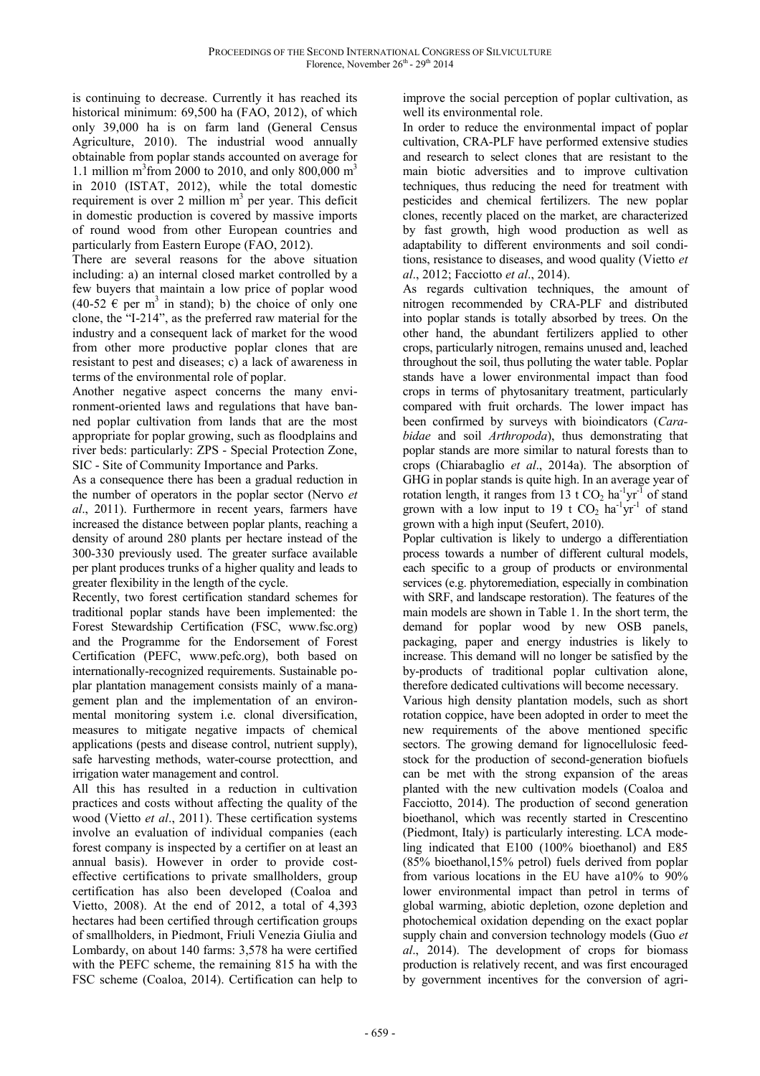is continuing to decrease. Currently it has reached its historical minimum: 69,500 ha (FAO, 2012), of which only 39,000 ha is on farm land (General Census Agriculture, 2010). The industrial wood annually obtainable from poplar stands accounted on average for 1.1 million  $m^3$  from 2000 to 2010, and only 800,000  $m^3$ in 2010 (ISTAT, 2012), while the total domestic requirement is over 2 million  $m<sup>3</sup>$  per year. This deficit in domestic production is covered by massive imports of round wood from other European countries and particularly from Eastern Europe (FAO, 2012).

There are several reasons for the above situation including: a) an internal closed market controlled by a few buyers that maintain a low price of poplar wood  $(40-52 \text{ } \in \text{per} \text{ m}^3 \text{ in stand})$ ; b) the choice of only one clone, the "I-214", as the preferred raw material for the industry and a consequent lack of market for the wood from other more productive poplar clones that are resistant to pest and diseases; c) a lack of awareness in terms of the environmental role of poplar.

Another negative aspect concerns the many environment-oriented laws and regulations that have banned poplar cultivation from lands that are the most appropriate for poplar growing, such as floodplains and river beds: particularly: ZPS - Special Protection Zone, SIC - Site of Community Importance and Parks.

As a consequence there has been a gradual reduction in the number of operators in the poplar sector (Nervo *et al*., 2011). Furthermore in recent years, farmers have increased the distance between poplar plants, reaching a density of around 280 plants per hectare instead of the 300-330 previously used. The greater surface available per plant produces trunks of a higher quality and leads to greater flexibility in the length of the cycle.

Recently, two forest certification standard schemes for traditional poplar stands have been implemented: the Forest Stewardship Certification (FSC, www.fsc.org) and the Programme for the Endorsement of Forest Certification (PEFC, www.pefc.org), both based on internationally-recognized requirements. Sustainable poplar plantation management consists mainly of a management plan and the implementation of an environmental monitoring system i.e. clonal diversification, measures to mitigate negative impacts of chemical applications (pests and disease control, nutrient supply), safe harvesting methods, water-course protecttion, and irrigation water management and control.

All this has resulted in a reduction in cultivation practices and costs without affecting the quality of the wood (Vietto *et al*., 2011). These certification systems involve an evaluation of individual companies (each forest company is inspected by a certifier on at least an annual basis). However in order to provide costeffective certifications to private smallholders, group certification has also been developed (Coaloa and Vietto, 2008). At the end of 2012, a total of 4,393 hectares had been certified through certification groups of smallholders, in Piedmont, Friuli Venezia Giulia and Lombardy, on about 140 farms: 3,578 ha were certified with the PEFC scheme, the remaining 815 ha with the FSC scheme (Coaloa, 2014). Certification can help to improve the social perception of poplar cultivation, as well its environmental role.

In order to reduce the environmental impact of poplar cultivation, CRA-PLF have performed extensive studies and research to select clones that are resistant to the main biotic adversities and to improve cultivation techniques, thus reducing the need for treatment with pesticides and chemical fertilizers. The new poplar clones, recently placed on the market, are characterized by fast growth, high wood production as well as adaptability to different environments and soil conditions, resistance to diseases, and wood quality (Vietto *et al*., 2012; Facciotto *et al*., 2014).

As regards cultivation techniques, the amount of nitrogen recommended by CRA-PLF and distributed into poplar stands is totally absorbed by trees. On the other hand, the abundant fertilizers applied to other crops, particularly nitrogen, remains unused and, leached throughout the soil, thus polluting the water table. Poplar stands have a lower environmental impact than food crops in terms of phytosanitary treatment, particularly compared with fruit orchards. The lower impact has been confirmed by surveys with bioindicators (*Carabidae* and soil *Arthropoda*), thus demonstrating that poplar stands are more similar to natural forests than to crops (Chiarabaglio *et al*., 2014a). The absorption of GHG in poplar stands is quite high. In an average year of rotation length, it ranges from 13 t  $CO_2$  ha<sup>-1</sup>yr<sup>-1</sup> of stand grown with a low input to 19 t  $CO<sub>2</sub>$  ha<sup>-1</sup>yr<sup>-1</sup> of stand grown with a high input (Seufert, 2010).

Poplar cultivation is likely to undergo a differentiation process towards a number of different cultural models, each specific to a group of products or environmental services (e.g. phytoremediation, especially in combination with SRF, and landscape restoration). The features of the main models are shown in Table 1. In the short term, the demand for poplar wood by new OSB panels, packaging, paper and energy industries is likely to increase. This demand will no longer be satisfied by the by-products of traditional poplar cultivation alone, therefore dedicated cultivations will become necessary.

Various high density plantation models, such as short rotation coppice, have been adopted in order to meet the new requirements of the above mentioned specific sectors. The growing demand for lignocellulosic feedstock for the production of second-generation biofuels can be met with the strong expansion of the areas planted with the new cultivation models (Coaloa and Facciotto, 2014). The production of second generation bioethanol, which was recently started in Crescentino (Piedmont, Italy) is particularly interesting. LCA modeling indicated that E100 (100% bioethanol) and E85 (85% bioethanol,15% petrol) fuels derived from poplar from various locations in the EU have a10% to 90% lower environmental impact than petrol in terms of global warming, abiotic depletion, ozone depletion and photochemical oxidation depending on the exact poplar supply chain and conversion technology models (Guo *et al*., 2014). The development of crops for biomass production is relatively recent, and was first encouraged by government incentives for the conversion of agri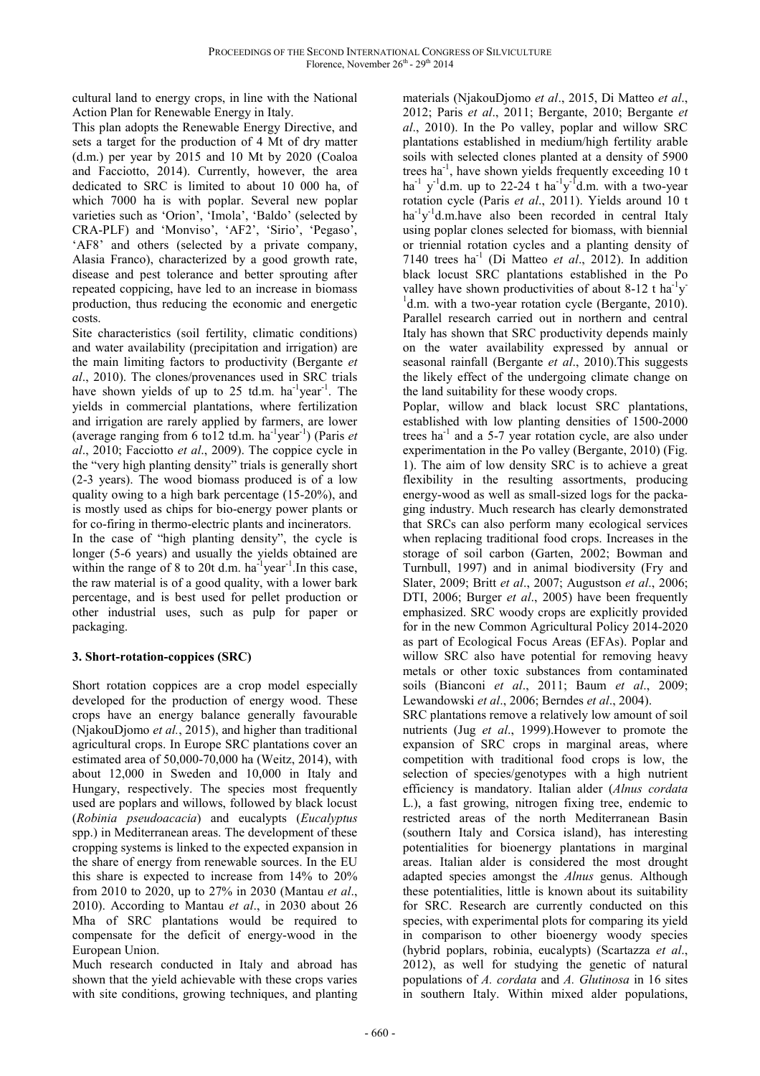cultural land to energy crops, in line with the National Action Plan for Renewable Energy in Italy.

This plan adopts the Renewable Energy Directive, and sets a target for the production of 4 Mt of dry matter (d.m.) per year by 2015 and 10 Mt by 2020 (Coaloa and Facciotto, 2014). Currently, however, the area dedicated to SRC is limited to about 10 000 ha, of which 7000 ha is with poplar. Several new poplar varieties such as 'Orion', 'Imola', 'Baldo' (selected by CRA-PLF) and 'Monviso', 'AF2', 'Sirio', 'Pegaso', 'AF8' and others (selected by a private company, Alasia Franco), characterized by a good growth rate, disease and pest tolerance and better sprouting after repeated coppicing, have led to an increase in biomass production, thus reducing the economic and energetic costs.

Site characteristics (soil fertility, climatic conditions) and water availability (precipitation and irrigation) are the main limiting factors to productivity (Bergante *et al*., 2010). The clones/provenances used in SRC trials have shown yields of up to 25 td.m. ha<sup>-1</sup>year<sup>-1</sup>. The yields in commercial plantations, where fertilization and irrigation are rarely applied by farmers, are lower (average ranging from 6 to12 td.m. ha-1year-1) (Paris *et al*., 2010; Facciotto *et al*., 2009). The coppice cycle in the "very high planting density" trials is generally short (2-3 years). The wood biomass produced is of a low quality owing to a high bark percentage (15-20%), and is mostly used as chips for bio-energy power plants or for co-firing in thermo-electric plants and incinerators.

In the case of "high planting density", the cycle is longer (5-6 years) and usually the yields obtained are within the range of 8 to 20t d.m.  $ha^{-1}year^{-1}$ . In this case, the raw material is of a good quality, with a lower bark percentage, and is best used for pellet production or other industrial uses, such as pulp for paper or packaging.

# **3. Short-rotation-coppices (SRC)**

Short rotation coppices are a crop model especially developed for the production of energy wood. These crops have an energy balance generally favourable (NjakouDjomo *et al.*, 2015), and higher than traditional agricultural crops. In Europe SRC plantations cover an estimated area of 50,000-70,000 ha (Weitz, 2014), with about 12,000 in Sweden and 10,000 in Italy and Hungary, respectively. The species most frequently used are poplars and willows, followed by black locust (*Robinia pseudoacacia*) and eucalypts (*Eucalyptus* spp.) in Mediterranean areas. The development of these cropping systems is linked to the expected expansion in the share of energy from renewable sources. In the EU this share is expected to increase from 14% to 20% from 2010 to 2020, up to 27% in 2030 (Mantau *et al*., 2010). According to Mantau *et al*., in 2030 about 26 Mha of SRC plantations would be required to compensate for the deficit of energy-wood in the European Union.

Much research conducted in Italy and abroad has shown that the yield achievable with these crops varies with site conditions, growing techniques, and planting

materials (NjakouDjomo *et al*., 2015, Di Matteo *et al*., 2012; Paris *et al*., 2011; Bergante, 2010; Bergante *et al*., 2010). In the Po valley, poplar and willow SRC plantations established in medium/high fertility arable soils with selected clones planted at a density of 5900 trees ha<sup>-1</sup>, have shown yields frequently exceeding 10 t ha<sup>-1</sup> y<sup>-1</sup>d.m. up to 22-24 t ha<sup>-1</sup>y<sup>-1</sup>d.m. with a two-year rotation cycle (Paris *et al*., 2011). Yields around 10 t ha<sup>-1</sup>y<sup>-1</sup>d.m.have also been recorded in central Italy using poplar clones selected for biomass, with biennial or triennial rotation cycles and a planting density of 7140 trees ha<sup>-1</sup> (Di Matteo *et al.*, 2012). In addition black locust SRC plantations established in the Po valley have shown productivities of about 8-12 t ha<sup>-1</sup>y<sup>-</sup> <sup>1</sup>d.m. with a two-year rotation cycle (Bergante, 2010). Parallel research carried out in northern and central Italy has shown that SRC productivity depends mainly on the water availability expressed by annual or seasonal rainfall (Bergante *et al*., 2010).This suggests the likely effect of the undergoing climate change on the land suitability for these woody crops.

Poplar, willow and black locust SRC plantations, established with low planting densities of 1500-2000 trees ha<sup>-1</sup> and a 5-7 year rotation cycle, are also under experimentation in the Po valley (Bergante, 2010) (Fig. 1). The aim of low density SRC is to achieve a great flexibility in the resulting assortments, producing energy-wood as well as small-sized logs for the packaging industry. Much research has clearly demonstrated that SRCs can also perform many ecological services when replacing traditional food crops. Increases in the storage of soil carbon (Garten, 2002; Bowman and Turnbull, 1997) and in animal biodiversity (Fry and Slater, 2009; Britt *et al*., 2007; Augustson *et al*., 2006; DTI, 2006; Burger *et al*., 2005) have been frequently emphasized. SRC woody crops are explicitly provided for in the new Common Agricultural Policy 2014-2020 as part of Ecological Focus Areas (EFAs). Poplar and willow SRC also have potential for removing heavy metals or other toxic substances from contaminated soils (Bianconi *et al*., 2011; Baum *et al*., 2009; Lewandowski *et al*., 2006; Berndes *et al*., 2004).

SRC plantations remove a relatively low amount of soil nutrients (Jug *et al*., 1999).However to promote the expansion of SRC crops in marginal areas, where competition with traditional food crops is low, the selection of species/genotypes with a high nutrient efficiency is mandatory. Italian alder (*Alnus cordata* L.), a fast growing, nitrogen fixing tree, endemic to restricted areas of the north Mediterranean Basin (southern Italy and Corsica island), has interesting potentialities for bioenergy plantations in marginal areas. Italian alder is considered the most drought adapted species amongst the *Alnus* genus. Although these potentialities, little is known about its suitability for SRC. Research are currently conducted on this species, with experimental plots for comparing its yield in comparison to other bioenergy woody species (hybrid poplars, robinia, eucalypts) (Scartazza *et al*., 2012), as well for studying the genetic of natural populations of *A. cordata* and *A. Glutinosa* in 16 sites in southern Italy. Within mixed alder populations,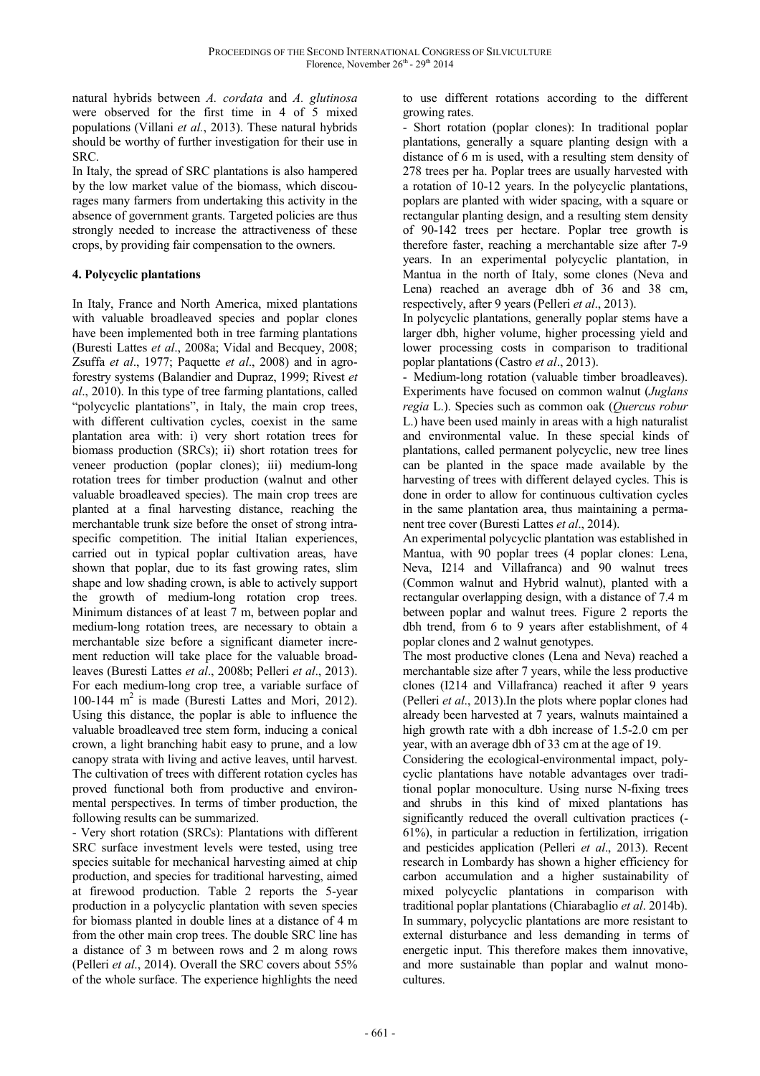natural hybrids between *A. cordata* and *A. glutinosa* were observed for the first time in 4 of 5 mixed populations (Villani *et al.*, 2013). These natural hybrids should be worthy of further investigation for their use in SRC.

In Italy, the spread of SRC plantations is also hampered by the low market value of the biomass, which discourages many farmers from undertaking this activity in the absence of government grants. Targeted policies are thus strongly needed to increase the attractiveness of these crops, by providing fair compensation to the owners.

# **4. Polycyclic plantations**

In Italy, France and North America, mixed plantations with valuable broadleaved species and poplar clones have been implemented both in tree farming plantations (Buresti Lattes *et al*., 2008a; Vidal and Becquey, 2008; Zsuffa *et al*., 1977; Paquette *et al*., 2008) and in agroforestry systems (Balandier and Dupraz, 1999; Rivest *et al*., 2010). In this type of tree farming plantations, called "polycyclic plantations", in Italy, the main crop trees, with different cultivation cycles, coexist in the same plantation area with: i) very short rotation trees for biomass production (SRCs); ii) short rotation trees for veneer production (poplar clones); iii) medium-long rotation trees for timber production (walnut and other valuable broadleaved species). The main crop trees are planted at a final harvesting distance, reaching the merchantable trunk size before the onset of strong intraspecific competition. The initial Italian experiences, carried out in typical poplar cultivation areas, have shown that poplar, due to its fast growing rates, slim shape and low shading crown, is able to actively support the growth of medium-long rotation crop trees. Minimum distances of at least 7 m, between poplar and medium-long rotation trees, are necessary to obtain a merchantable size before a significant diameter increment reduction will take place for the valuable broadleaves (Buresti Lattes *et al*., 2008b; Pelleri *et al*., 2013). For each medium-long crop tree, a variable surface of 100-144  $m^2$  is made (Buresti Lattes and Mori, 2012). Using this distance, the poplar is able to influence the valuable broadleaved tree stem form, inducing a conical crown, a light branching habit easy to prune, and a low canopy strata with living and active leaves, until harvest. The cultivation of trees with different rotation cycles has proved functional both from productive and environmental perspectives. In terms of timber production, the following results can be summarized.

- Very short rotation (SRCs): Plantations with different SRC surface investment levels were tested, using tree species suitable for mechanical harvesting aimed at chip production, and species for traditional harvesting, aimed at firewood production. Table 2 reports the 5-year production in a polycyclic plantation with seven species for biomass planted in double lines at a distance of 4 m from the other main crop trees. The double SRC line has a distance of 3 m between rows and 2 m along rows (Pelleri *et al*., 2014). Overall the SRC covers about 55% of the whole surface. The experience highlights the need to use different rotations according to the different growing rates.

- Short rotation (poplar clones): In traditional poplar plantations, generally a square planting design with a distance of 6 m is used, with a resulting stem density of 278 trees per ha. Poplar trees are usually harvested with a rotation of 10-12 years. In the polycyclic plantations, poplars are planted with wider spacing, with a square or rectangular planting design, and a resulting stem density of 90-142 trees per hectare. Poplar tree growth is therefore faster, reaching a merchantable size after 7-9 years. In an experimental polycyclic plantation, in Mantua in the north of Italy, some clones (Neva and Lena) reached an average dbh of 36 and 38 cm, respectively, after 9 years (Pelleri *et al*., 2013).

In polycyclic plantations, generally poplar stems have a larger dbh, higher volume, higher processing yield and lower processing costs in comparison to traditional poplar plantations (Castro *et al*., 2013).

- Medium-long rotation (valuable timber broadleaves). Experiments have focused on common walnut (*Juglans regia* L.). Species such as common oak (*Quercus robur* L.) have been used mainly in areas with a high naturalist and environmental value. In these special kinds of plantations, called permanent polycyclic, new tree lines can be planted in the space made available by the harvesting of trees with different delayed cycles. This is done in order to allow for continuous cultivation cycles in the same plantation area, thus maintaining a permanent tree cover (Buresti Lattes *et al*., 2014).

An experimental polycyclic plantation was established in Mantua, with 90 poplar trees (4 poplar clones: Lena, Neva, I214 and Villafranca) and 90 walnut trees (Common walnut and Hybrid walnut), planted with a rectangular overlapping design, with a distance of 7.4 m between poplar and walnut trees. Figure 2 reports the dbh trend, from 6 to 9 years after establishment, of 4 poplar clones and 2 walnut genotypes.

The most productive clones (Lena and Neva) reached a merchantable size after 7 years, while the less productive clones (I214 and Villafranca) reached it after 9 years (Pelleri *et al*., 2013).In the plots where poplar clones had already been harvested at 7 years, walnuts maintained a high growth rate with a dbh increase of 1.5-2.0 cm per year, with an average dbh of 33 cm at the age of 19.

Considering the ecological-environmental impact, polycyclic plantations have notable advantages over traditional poplar monoculture. Using nurse N-fixing trees and shrubs in this kind of mixed plantations has significantly reduced the overall cultivation practices (- 61%), in particular a reduction in fertilization, irrigation and pesticides application (Pelleri *et al*., 2013). Recent research in Lombardy has shown a higher efficiency for carbon accumulation and a higher sustainability of mixed polycyclic plantations in comparison with traditional poplar plantations (Chiarabaglio *et al*. 2014b). In summary, polycyclic plantations are more resistant to external disturbance and less demanding in terms of energetic input. This therefore makes them innovative, and more sustainable than poplar and walnut monocultures.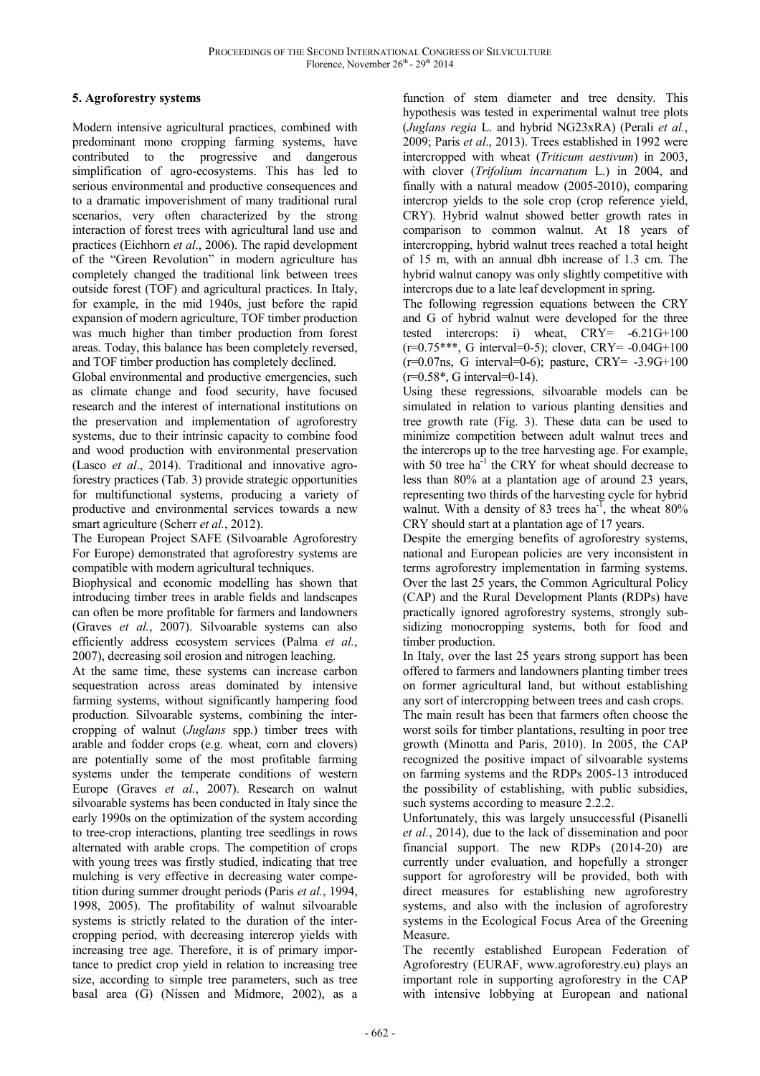# **5. Agroforestry systems**

Modern intensive agricultural practices, combined with predominant mono cropping farming systems, have contributed to the progressive and dangerous simplification of agro-ecosystems. This has led to serious environmental and productive consequences and to a dramatic impoverishment of many traditional rural scenarios, very often characterized by the strong interaction of forest trees with agricultural land use and practices (Eichhorn *et al*., 2006). The rapid development of the "Green Revolution" in modern agriculture has completely changed the traditional link between trees outside forest (TOF) and agricultural practices. In Italy, for example, in the mid 1940s, just before the rapid expansion of modern agriculture, TOF timber production was much higher than timber production from forest areas. Today, this balance has been completely reversed, and TOF timber production has completely declined.

Global environmental and productive emergencies, such as climate change and food security, have focused research and the interest of international institutions on the preservation and implementation of agroforestry systems, due to their intrinsic capacity to combine food and wood production with environmental preservation (Lasco *et al*., 2014). Traditional and innovative agroforestry practices (Tab. 3) provide strategic opportunities for multifunctional systems, producing a variety of productive and environmental services towards a new smart agriculture (Scherr *et al.*, 2012).

The European Project SAFE (Silvoarable Agroforestry For Europe) demonstrated that agroforestry systems are compatible with modern agricultural techniques.

Biophysical and economic modelling has shown that introducing timber trees in arable fields and landscapes can often be more profitable for farmers and landowners (Graves *et al.*, 2007). Silvoarable systems can also efficiently address ecosystem services (Palma *et al.*, 2007), decreasing soil erosion and nitrogen leaching.

At the same time, these systems can increase carbon sequestration across areas dominated by intensive farming systems, without significantly hampering food production. Silvoarable systems, combining the intercropping of walnut (*Juglans* spp.) timber trees with arable and fodder crops (e.g. wheat, corn and clovers) are potentially some of the most profitable farming systems under the temperate conditions of western Europe (Graves *et al.*, 2007). Research on walnut silvoarable systems has been conducted in Italy since the early 1990s on the optimization of the system according to tree-crop interactions, planting tree seedlings in rows alternated with arable crops. The competition of crops with young trees was firstly studied, indicating that tree mulching is very effective in decreasing water competition during summer drought periods (Paris *et al.*, 1994, 1998, 2005). The profitability of walnut silvoarable systems is strictly related to the duration of the intercropping period, with decreasing intercrop yields with increasing tree age. Therefore, it is of primary importance to predict crop yield in relation to increasing tree size, according to simple tree parameters, such as tree basal area (G) (Nissen and Midmore, 2002), as a

function of stem diameter and tree density. This hypothesis was tested in experimental walnut tree plots (*Juglans regia* L. and hybrid NG23xRA) (Perali *et al.*, 2009; Paris *et al*., 2013). Trees established in 1992 were intercropped with wheat (*Triticum aestivum*) in 2003, with clover (*Trifolium incarnatum* L.) in 2004, and finally with a natural meadow (2005-2010), comparing intercrop yields to the sole crop (crop reference yield, CRY). Hybrid walnut showed better growth rates in comparison to common walnut. At 18 years of intercropping, hybrid walnut trees reached a total height of 15 m, with an annual dbh increase of 1.3 cm. The hybrid walnut canopy was only slightly competitive with intercrops due to a late leaf development in spring.

The following regression equations between the CRY and G of hybrid walnut were developed for the three tested intercrops: i) wheat,  $CRY = -6.21G+100$  $(r=0.75***, G interval=0-5)$ ; clover, CRY=  $-0.04G+100$  $(r=0.07)$ ns, G interval=0-6); pasture, CRY= -3.9G+100  $(r=0.58^*$ , G interval=0-14).

Using these regressions, silvoarable models can be simulated in relation to various planting densities and tree growth rate (Fig. 3). These data can be used to minimize competition between adult walnut trees and the intercrops up to the tree harvesting age. For example, with 50 tree ha<sup>-1</sup> the CRY for wheat should decrease to less than 80% at a plantation age of around 23 years, representing two thirds of the harvesting cycle for hybrid walnut. With a density of 83 trees  $ha^{-1}$ , the wheat 80% CRY should start at a plantation age of 17 years.

Despite the emerging benefits of agroforestry systems, national and European policies are very inconsistent in terms agroforestry implementation in farming systems. Over the last 25 years, the Common Agricultural Policy (CAP) and the Rural Development Plants (RDPs) have practically ignored agroforestry systems, strongly subsidizing monocropping systems, both for food and timber production.

In Italy, over the last 25 years strong support has been offered to farmers and landowners planting timber trees on former agricultural land, but without establishing any sort of intercropping between trees and cash crops.

The main result has been that farmers often choose the worst soils for timber plantations, resulting in poor tree growth (Minotta and Paris, 2010). In 2005, the CAP recognized the positive impact of silvoarable systems on farming systems and the RDPs 2005-13 introduced the possibility of establishing, with public subsidies, such systems according to measure 2.2.2.

Unfortunately, this was largely unsuccessful (Pisanelli *et al.*, 2014), due to the lack of dissemination and poor financial support. The new RDPs (2014-20) are currently under evaluation, and hopefully a stronger support for agroforestry will be provided, both with direct measures for establishing new agroforestry systems, and also with the inclusion of agroforestry systems in the Ecological Focus Area of the Greening Measure.

The recently established European Federation of Agroforestry (EURAF, www.agroforestry.eu) plays an important role in supporting agroforestry in the CAP with intensive lobbying at European and national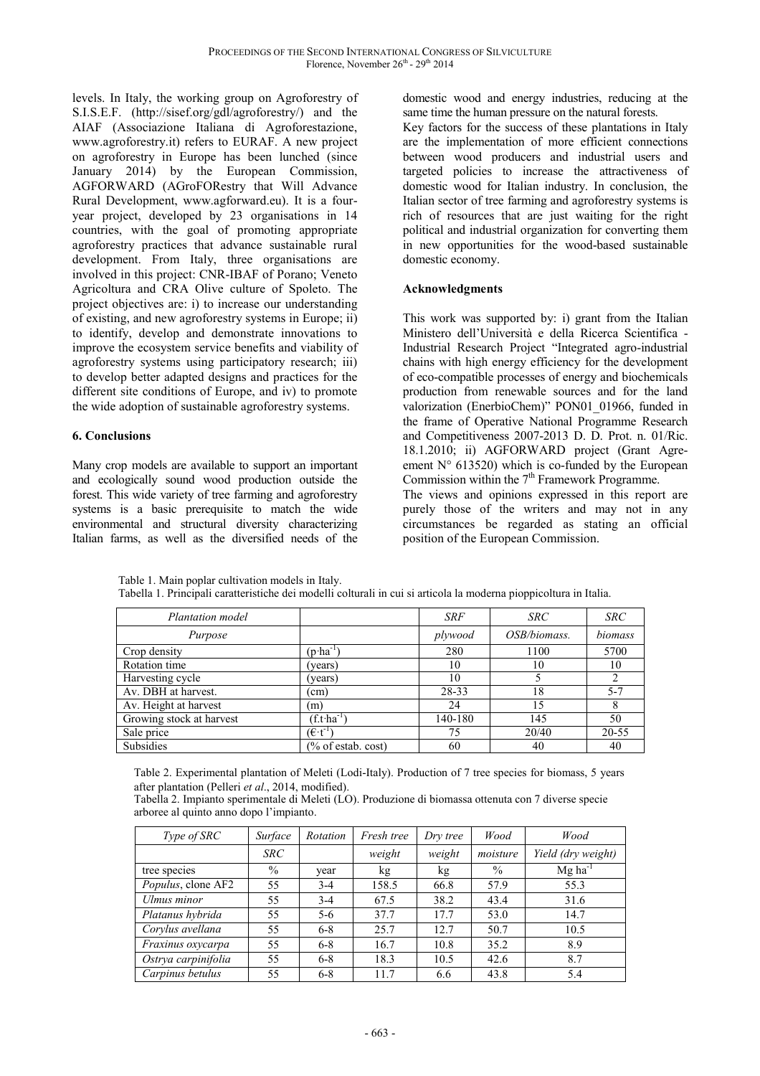levels. In Italy, the working group on Agroforestry of S.I.S.E.F. (http://sisef.org/gdl/agroforestry/) and the AIAF (Associazione Italiana di Agroforestazione, www.agroforestry.it) refers to EURAF. A new project on agroforestry in Europe has been lunched (since January 2014) by the European Commission, AGFORWARD (AGroFORestry that Will Advance Rural Development, www.agforward.eu). It is a fouryear project, developed by 23 organisations in 14 countries, with the goal of promoting appropriate agroforestry practices that advance sustainable rural development. From Italy, three organisations are involved in this project: CNR-IBAF of Porano; Veneto Agricoltura and CRA Olive culture of Spoleto. The project objectives are: i) to increase our understanding of existing, and new agroforestry systems in Europe; ii) to identify, develop and demonstrate innovations to improve the ecosystem service benefits and viability of agroforestry systems using participatory research; iii) to develop better adapted designs and practices for the different site conditions of Europe, and iv) to promote the wide adoption of sustainable agroforestry systems.

### **6. Conclusions**

Many crop models are available to support an important and ecologically sound wood production outside the forest. This wide variety of tree farming and agroforestry systems is a basic prerequisite to match the wide environmental and structural diversity characterizing Italian farms, as well as the diversified needs of the

domestic wood and energy industries, reducing at the same time the human pressure on the natural forests.

Key factors for the success of these plantations in Italy are the implementation of more efficient connections between wood producers and industrial users and targeted policies to increase the attractiveness of domestic wood for Italian industry. In conclusion, the Italian sector of tree farming and agroforestry systems is rich of resources that are just waiting for the right political and industrial organization for converting them in new opportunities for the wood-based sustainable domestic economy.

# **Acknowledgments**

This work was supported by: i) grant from the Italian Ministero dell'Università e della Ricerca Scientifica - Industrial Research Project "Integrated agro-industrial chains with high energy efficiency for the development of eco-compatible processes of energy and biochemicals production from renewable sources and for the land valorization (EnerbioChem)" PON01\_01966, funded in the frame of Operative National Programme Research and Competitiveness 2007-2013 D. D. Prot. n. 01/Ric. 18.1.2010; ii) AGFORWARD project (Grant Agreement  $N^{\circ}$  613520) which is co-funded by the European Commission within the  $7<sup>th</sup>$  Framework Programme. The views and opinions expressed in this report are purely those of the writers and may not in any

circumstances be regarded as stating an official position of the European Commission.

Table 1. Main poplar cultivation models in Italy.

| Plantation model         |                               | <b>SRF</b> | <b>SRC</b>   | <b>SRC</b>     |
|--------------------------|-------------------------------|------------|--------------|----------------|
| Purpose                  |                               | plywood    | OSB/biomass. | biomass        |
| Crop density             | $(p \cdot ha^{-1})$           | 280        | 1100         | 5700           |
| Rotation time            | years)                        | 10         | 10           | 10             |
| Harvesting cycle         | (years)                       | 10         |              | $\mathfrak{D}$ |
| Av. DBH at harvest.      | (cm)                          | 28-33      | 18           | $5 - 7$        |
| Av. Height at harvest    | (m)                           | 24         | 15           | 8              |
| Growing stock at harvest | $(f.t. ha^{-1})$              | 140-180    | 145          | 50             |
| Sale price               | $(\epsilon \cdot t^{-1})$     | 75         | 20/40        | 20-55          |
| Subsidies                | $\frac{1}{2}$ of estab. cost) | 60         | 40           | 40             |

Tabella 1. Principali caratteristiche dei modelli colturali in cui si articola la moderna pioppicoltura in Italia.

Table 2. Experimental plantation of Meleti (Lodi-Italy). Production of 7 tree species for biomass, 5 years after plantation (Pelleri *et al*., 2014, modified).

Tabella 2. Impianto sperimentale di Meleti (LO). Produzione di biomassa ottenuta con 7 diverse specie arboree al quinto anno dopo l'impianto.

| Type of SRC         | Surface    | Rotation | Fresh tree | Dry tree | Wood          | Wood                  |
|---------------------|------------|----------|------------|----------|---------------|-----------------------|
|                     | <b>SRC</b> |          | weight     | weight   | moisture      | Yield (dry weight)    |
| tree species        | $\%$       | year     | kg         | kg       | $\frac{0}{0}$ | $Mg$ ha <sup>-1</sup> |
| Populus, clone AF2  | 55         | $3-4$    | 158.5      | 66.8     | 57.9          | 55.3                  |
| Ulmus minor         | 55         | $3-4$    | 67.5       | 38.2     | 43.4          | 31.6                  |
| Platanus hybrida    | 55         | $5 - 6$  | 37.7       | 17.7     | 53.0          | 14.7                  |
| Corylus avellana    | 55         | $6 - 8$  | 25.7       | 12.7     | 50.7          | 10.5                  |
| Fraxinus oxycarpa   | 55         | $6 - 8$  | 16.7       | 10.8     | 35.2          | 8.9                   |
| Ostrya carpinifolia | 55         | $6 - 8$  | 18.3       | 10.5     | 42.6          | 8.7                   |
| Carpinus betulus    | 55         | $6 - 8$  | 11.7       | 6.6      | 43.8          | 5.4                   |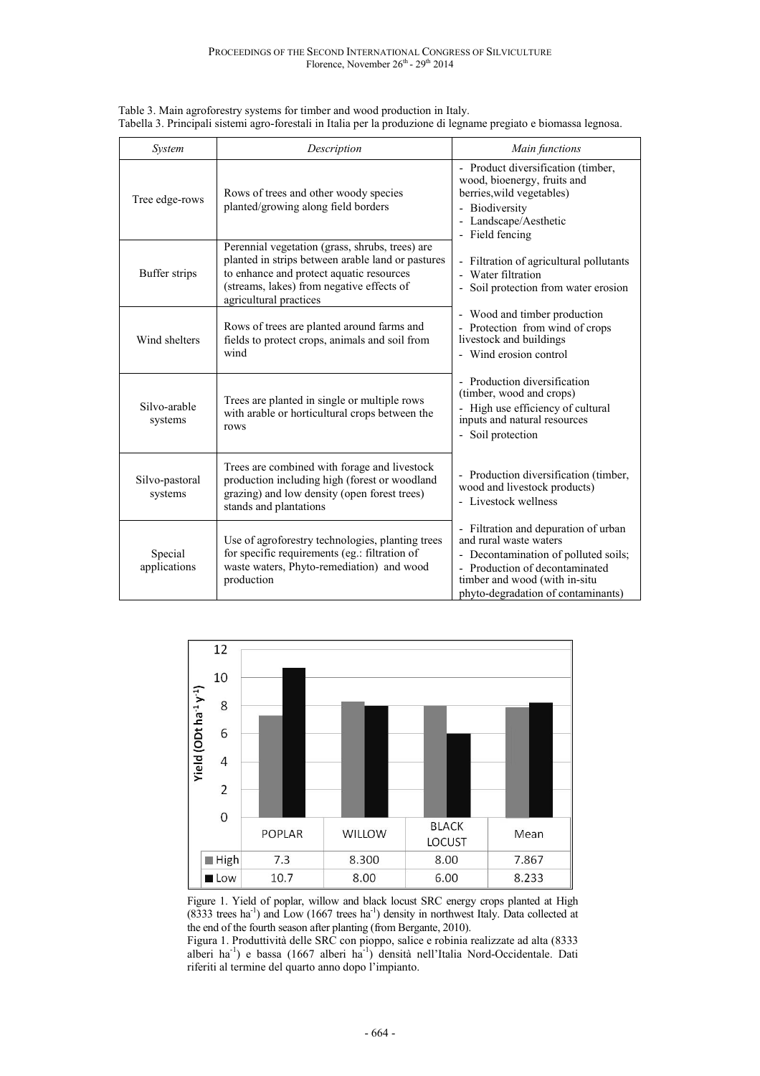| System                    | Description                                                                                                                                                                                                             | Main functions                                                                                                                                                                                                  |
|---------------------------|-------------------------------------------------------------------------------------------------------------------------------------------------------------------------------------------------------------------------|-----------------------------------------------------------------------------------------------------------------------------------------------------------------------------------------------------------------|
| Tree edge-rows            | Rows of trees and other woody species<br>planted/growing along field borders                                                                                                                                            | - Product diversification (timber,<br>wood, bioenergy, fruits and<br>berries, wild vegetables)<br>- Biodiversity<br>- Landscape/Aesthetic<br>- Field fencing                                                    |
| Buffer strips             | Perennial vegetation (grass, shrubs, trees) are<br>planted in strips between arable land or pastures<br>to enhance and protect aquatic resources<br>(streams, lakes) from negative effects of<br>agricultural practices | - Filtration of agricultural pollutants<br>- Water filtration<br>- Soil protection from water erosion                                                                                                           |
| Wind shelters             | Rows of trees are planted around farms and<br>fields to protect crops, animals and soil from<br>wind                                                                                                                    | - Wood and timber production<br>- Protection from wind of crops<br>livestock and buildings<br>- Wind erosion control                                                                                            |
| Silvo-arable<br>systems   | Trees are planted in single or multiple rows<br>with arable or horticultural crops between the<br>rows                                                                                                                  | - Production diversification<br>(timber, wood and crops)<br>- High use efficiency of cultural<br>inputs and natural resources<br>- Soil protection                                                              |
| Silvo-pastoral<br>systems | Trees are combined with forage and livestock<br>production including high (forest or woodland<br>grazing) and low density (open forest trees)<br>stands and plantations                                                 | - Production diversification (timber,<br>wood and livestock products)<br>- Livestock wellness                                                                                                                   |
| Special<br>applications   | Use of agroforestry technologies, planting trees<br>for specific requirements (eg.: filtration of<br>waste waters, Phyto-remediation) and wood<br>production                                                            | - Filtration and depuration of urban<br>and rural waste waters<br>- Decontamination of polluted soils;<br>- Production of decontaminated<br>timber and wood (with in-situ<br>phyto-degradation of contaminants) |

Table 3. Main agroforestry systems for timber and wood production in Italy. Tabella 3. Principali sistemi agro-forestali in Italia per la produzione di legname pregiato e biomassa legnosa.



Figure 1. Yield of poplar, willow and black locust SRC energy crops planted at High  $(8333$  trees ha<sup>-1</sup>) and Low  $(1667$  trees ha<sup>-1</sup>) density in northwest Italy. Data collected at the end of the fourth season after planting (from Bergante, 2010).

Figura 1. Produttività delle SRC con pioppo, salice e robinia realizzate ad alta (8333 alberi ha<sup>-1</sup>) e bassa (1667 alberi ha<sup>-1</sup>) densità nell'Italia Nord-Occidentale. Dati riferiti al termine del quarto anno dopo l'impianto.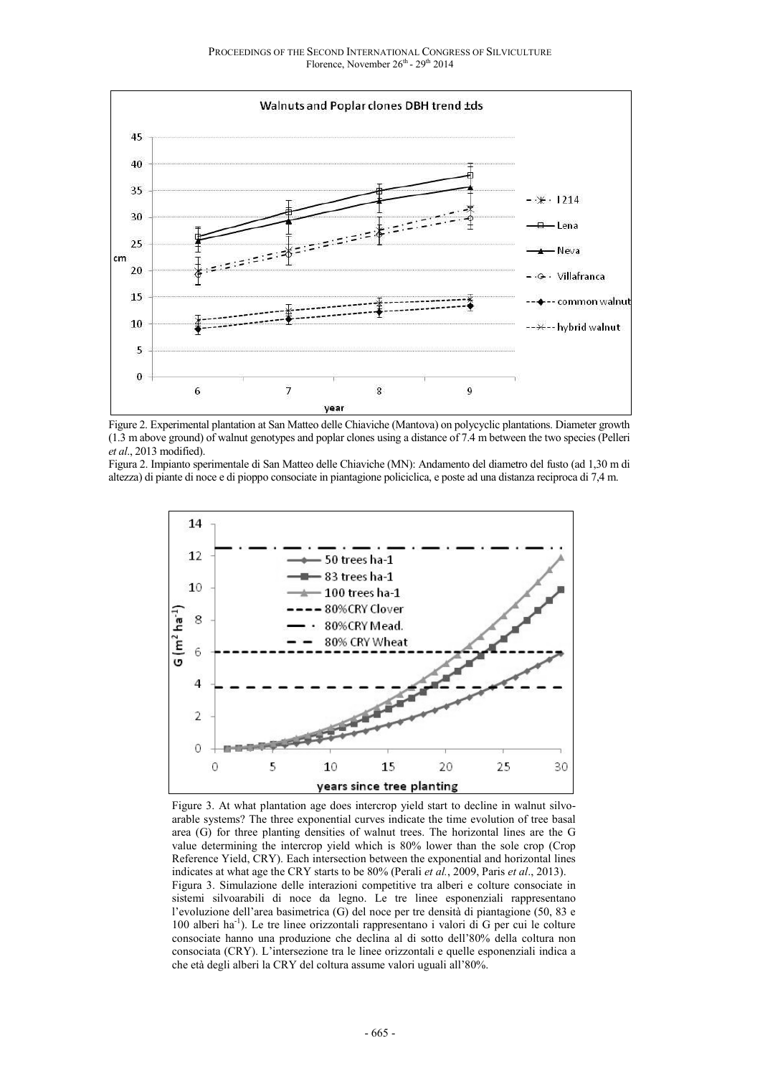

Figure 2. Experimental plantation at San Matteo delle Chiaviche (Mantova) on polycyclic plantations. Diameter growth (1.3 m above ground) of walnut genotypes and poplar clones using a distance of 7.4 m between the two species (Pelleri *et al*., 2013 modified).

Figura 2. Impianto sperimentale di San Matteo delle Chiaviche (MN): Andamento del diametro del fusto (ad 1,30 m di altezza) di piante di noce e di pioppo consociate in piantagione policiclica, e poste ad una distanza reciproca di 7,4 m.



Figure 3. At what plantation age does intercrop yield start to decline in walnut silvoarable systems? The three exponential curves indicate the time evolution of tree basal area (G) for three planting densities of walnut trees. The horizontal lines are the G value determining the intercrop yield which is 80% lower than the sole crop (Crop Reference Yield, CRY). Each intersection between the exponential and horizontal lines indicates at what age the CRY starts to be 80% (Perali *et al.*, 2009, Paris *et al*., 2013). Figura 3. Simulazione delle interazioni competitive tra alberi e colture consociate in sistemi silvoarabili di noce da legno. Le tre linee esponenziali rappresentano l'evoluzione dell'area basimetrica (G) del noce per tre densità di piantagione (50, 83 e 100 alberi ha<sup>-1</sup>). Le tre linee orizzontali rappresentano i valori di G per cui le colture consociate hanno una produzione che declina al di sotto dell'80% della coltura non consociata (CRY). L'intersezione tra le linee orizzontali e quelle esponenziali indica a che età degli alberi la CRY del coltura assume valori uguali all'80%.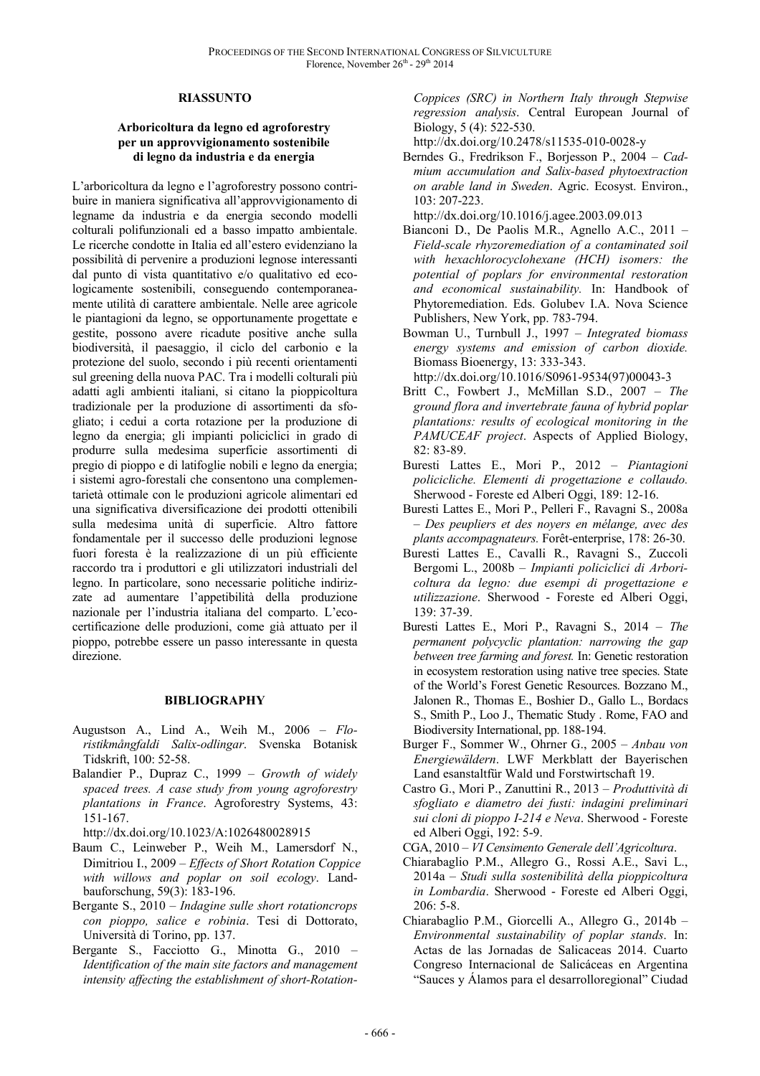### **RIASSUNTO**

### **Arboricoltura da legno ed agroforestry per un approvvigionamento sostenibile di legno da industria e da energia**

L'arboricoltura da legno e l'agroforestry possono contribuire in maniera significativa all'approvvigionamento di legname da industria e da energia secondo modelli colturali polifunzionali ed a basso impatto ambientale. Le ricerche condotte in Italia ed all'estero evidenziano la possibilità di pervenire a produzioni legnose interessanti dal punto di vista quantitativo e/o qualitativo ed ecologicamente sostenibili, conseguendo contemporaneamente utilità di carattere ambientale. Nelle aree agricole le piantagioni da legno, se opportunamente progettate e gestite, possono avere ricadute positive anche sulla biodiversità, il paesaggio, il ciclo del carbonio e la protezione del suolo, secondo i più recenti orientamenti sul greening della nuova PAC. Tra i modelli colturali più adatti agli ambienti italiani, si citano la pioppicoltura tradizionale per la produzione di assortimenti da sfogliato; i cedui a corta rotazione per la produzione di legno da energia; gli impianti policiclici in grado di produrre sulla medesima superficie assortimenti di pregio di pioppo e di latifoglie nobili e legno da energia; i sistemi agro-forestali che consentono una complementarietà ottimale con le produzioni agricole alimentari ed una significativa diversificazione dei prodotti ottenibili sulla medesima unità di superficie. Altro fattore fondamentale per il successo delle produzioni legnose fuori foresta è la realizzazione di un più efficiente raccordo tra i produttori e gli utilizzatori industriali del legno. In particolare, sono necessarie politiche indirizzate ad aumentare l'appetibilità della produzione nazionale per l'industria italiana del comparto. L'ecocertificazione delle produzioni, come già attuato per il pioppo, potrebbe essere un passo interessante in questa direzione.

### **BIBLIOGRAPHY**

- Augustson A., Lind A., Weih M., 2006 *Floristikmångfaldi Salix-odlingar*. Svenska Botanisk Tidskrift, 100: 52-58.
- Balandier P., Dupraz C., 1999 *Growth of widely spaced trees. A case study from young agroforestry plantations in France*. Agroforestry Systems, 43: 151-167.

http://dx.doi.org/10.1023/A:1026480028915

- Baum C., Leinweber P., Weih M., Lamersdorf N., Dimitriou I., 2009 – *Effects of Short Rotation Coppice with willows and poplar on soil ecology*. Landbauforschung, 59(3): 183-196.
- Bergante S., 2010 *Indagine sulle short rotationcrops con pioppo, salice e robinia*. Tesi di Dottorato, Università di Torino, pp. 137.
- Bergante S., Facciotto G., Minotta G., 2010 *Identification of the main site factors and management intensity affecting the establishment of short-Rotation-*

*Coppices (SRC) in Northern Italy through Stepwise regression analysis*. Central European Journal of Biology, 5 (4): 522-530.

http://dx.doi.org/10.2478/s11535-010-0028-y

Berndes G., Fredrikson F., Borjesson P., 2004 – *Cadmium accumulation and Salix-based phytoextraction on arable land in Sweden*. Agric. Ecosyst. Environ., 103: 207-223.

http://dx.doi.org/10.1016/j.agee.2003.09.013

- Bianconi D., De Paolis M.R., Agnello A.C., 2011 *Field-scale rhyzoremediation of a contaminated soil with hexachlorocyclohexane (HCH) isomers: the potential of poplars for environmental restoration and economical sustainability.* In: Handbook of Phytoremediation. Eds. Golubev I.A. Nova Science Publishers, New York, pp. 783-794.
- Bowman U., Turnbull J., 1997 *Integrated biomass energy systems and emission of carbon dioxide.* Biomass Bioenergy, 13: 333-343.

http://dx.doi.org/10.1016/S0961-9534(97)00043-3

- Britt C., Fowbert J., McMillan S.D., 2007 *The ground flora and invertebrate fauna of hybrid poplar plantations: results of ecological monitoring in the PAMUCEAF project*. Aspects of Applied Biology, 82: 83-89.
- Buresti Lattes E., Mori P., 2012 *Piantagioni policicliche. Elementi di progettazione e collaudo.* Sherwood - Foreste ed Alberi Oggi, 189: 12-16.
- Buresti Lattes E., Mori P., Pelleri F., Ravagni S., 2008a – *Des peupliers et des noyers en mélange, avec des plants accompagnateurs.* Forêt-enterprise, 178: 26-30.
- Buresti Lattes E., Cavalli R., Ravagni S., Zuccoli Bergomi L., 2008b – *Impianti policiclici di Arboricoltura da legno: due esempi di progettazione e utilizzazione*. Sherwood - Foreste ed Alberi Oggi, 139: 37-39.
- Buresti Lattes E., Mori P., Ravagni S., 2014 *The permanent polycyclic plantation: narrowing the gap between tree farming and forest.* In: Genetic restoration in ecosystem restoration using native tree species. State of the World's Forest Genetic Resources. Bozzano M., Jalonen R., Thomas E., Boshier D., Gallo L., Bordacs S., Smith P., Loo J., Thematic Study . Rome, FAO and Biodiversity International, pp. 188-194.
- Burger F., Sommer W., Ohrner G., 2005 *Anbau von Energiewäldern*. LWF Merkblatt der Bayerischen Land esanstaltfür Wald und Forstwirtschaft 19.
- Castro G., Mori P., Zanuttini R., 2013 *Produttività di sfogliato e diametro dei fusti: indagini preliminari sui cloni di pioppo I-214 e Neva*. Sherwood - Foreste ed Alberi Oggi, 192: 5-9.

CGA, 2010 – *VI Censimento Generale dell'Agricoltura*.

- Chiarabaglio P.M., Allegro G., Rossi A.E., Savi L., 2014a – *Studi sulla sostenibilità della pioppicoltura in Lombardia*. Sherwood - Foreste ed Alberi Oggi, 206: 5-8.
- Chiarabaglio P.M., Giorcelli A., Allegro G., 2014b *Environmental sustainability of poplar stands*. In: Actas de las Jornadas de Salicaceas 2014. Cuarto Congreso Internacional de Salicáceas en Argentina "Sauces y Álamos para el desarrolloregional" Ciudad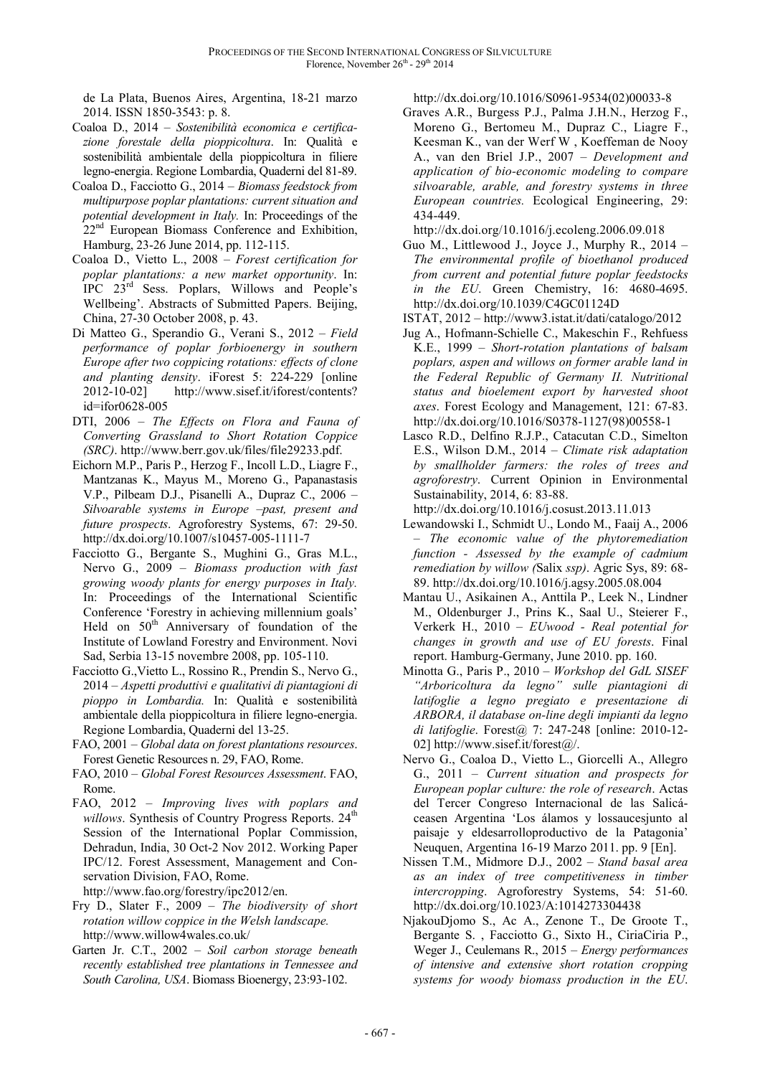de La Plata, Buenos Aires, Argentina, 18-21 marzo 2014. ISSN 1850-3543: p. 8.

- Coaloa D., 2014 *Sostenibilità economica e certificazione forestale della pioppicoltura*. In: Qualità e sostenibilità ambientale della pioppicoltura in filiere legno-energia. Regione Lombardia, Quaderni del 81-89.
- Coaloa D., Facciotto G., 2014 *Biomass feedstock from multipurpose poplar plantations: current situation and potential development in Italy.* In: Proceedings of the 22<sup>nd</sup> European Biomass Conference and Exhibition, Hamburg, 23-26 June 2014, pp. 112-115.
- Coaloa D., Vietto L., 2008 *Forest certification for poplar plantations: a new market opportunity*. In: IPC 23rd Sess. Poplars, Willows and People's Wellbeing'. Abstracts of Submitted Papers. Beijing, China, 27-30 October 2008, p. 43.
- Di Matteo G., Sperandio G., Verani S., 2012 *Field performance of poplar forbioenergy in southern Europe after two coppicing rotations: effects of clone and planting density*. iForest 5: 224-229 [online 2012-10-02] http://www.sisef.it/iforest/contents? id=ifor0628-005
- DTI, 2006 *The Effects on Flora and Fauna of Converting Grassland to Short Rotation Coppice (SRC)*. http://www.berr.gov.uk/files/file29233.pdf.
- Eichorn M.P., Paris P., Herzog F., Incoll L.D., Liagre F., Mantzanas K., Mayus M., Moreno G., Papanastasis V.P., Pilbeam D.J., Pisanelli A., Dupraz C., 2006 – *Silvoarable systems in Europe –past, present and future prospects*. Agroforestry Systems, 67: 29-50. http://dx.doi.org/10.1007/s10457-005-1111-7
- Facciotto G., Bergante S., Mughini G., Gras M.L., Nervo G., 2009 – *Biomass production with fast growing woody plants for energy purposes in Italy.* In: Proceedings of the International Scientific Conference 'Forestry in achieving millennium goals' Held on  $50<sup>th</sup>$  Anniversary of foundation of the Institute of Lowland Forestry and Environment. Novi Sad, Serbia 13-15 novembre 2008, pp. 105-110.
- Facciotto G.,Vietto L., Rossino R., Prendin S., Nervo G., 2014 – *Aspetti produttivi e qualitativi di piantagioni di pioppo in Lombardia.* In: Qualità e sostenibilità ambientale della pioppicoltura in filiere legno-energia. Regione Lombardia, Quaderni del 13-25.
- FAO, 2001 *Global data on forest plantations resources*. Forest Genetic Resources n. 29, FAO, Rome.
- FAO, 2010 *Global Forest Resources Assessment*. FAO, Rome.
- FAO, 2012 *Improving lives with poplars and willows*. Synthesis of Country Progress Reports. 24<sup>th</sup> Session of the International Poplar Commission, Dehradun, India, 30 Oct-2 Nov 2012. Working Paper IPC/12. Forest Assessment, Management and Conservation Division, FAO, Rome.

http://www.fao.org/forestry/ipc2012/en.

- Fry D., Slater F., 2009 *The biodiversity of short rotation willow coppice in the Welsh landscape.*  http://www.willow4wales.co.uk/
- Garten Jr. C.T., 2002 *Soil carbon storage beneath recently established tree plantations in Tennessee and South Carolina, USA*. Biomass Bioenergy, 23:93-102.

http://dx.doi.org/10.1016/S0961-9534(02)00033-8

Graves A.R., Burgess P.J., Palma J.H.N., Herzog F., Moreno G., Bertomeu M., Dupraz C., Liagre F., Keesman K., van der Werf W , Koeffeman de Nooy A., van den Briel J.P., 2007 – *Development and application of bio-economic modeling to compare silvoarable, arable, and forestry systems in three European countries.* Ecological Engineering, 29: 434-449.

http://dx.doi.org/10.1016/j.ecoleng.2006.09.018

Guo M., Littlewood J., Joyce J., Murphy R., 2014 – *The environmental profile of bioethanol produced from current and potential future poplar feedstocks in the EU*. Green Chemistry, 16: 4680-4695. http://dx.doi.org/10.1039/C4GC01124D

ISTAT, 2012 – http://www3.istat.it/dati/catalogo/2012

- Jug A., Hofmann-Schielle C., Makeschin F., Rehfuess K.E., 1999 – *Short-rotation plantations of balsam poplars, aspen and willows on former arable land in the Federal Republic of Germany II. Nutritional status and bioelement export by harvested shoot axes*. Forest Ecology and Management, 121: 67-83. http://dx.doi.org/10.1016/S0378-1127(98)00558-1
- Lasco R.D., Delfino R.J.P., Catacutan C.D., Simelton E.S., Wilson D.M., 2014 – *Climate risk adaptation by smallholder farmers: the roles of trees and agroforestry*. Current Opinion in Environmental Sustainability, 2014, 6: 83-88.

http://dx.doi.org/10.1016/j.cosust.2013.11.013

- Lewandowski I., Schmidt U., Londo M., Faaij A., 2006 – *The economic value of the phytoremediation function - Assessed by the example of cadmium remediation by willow (*Salix *ssp)*. Agric Sys, 89: 68- 89. http://dx.doi.org/10.1016/j.agsy.2005.08.004
- Mantau U., Asikainen A., Anttila P., Leek N., Lindner M., Oldenburger J., Prins K., Saal U., Steierer F., Verkerk H., 2010 – *EUwood - Real potential for changes in growth and use of EU forests*. Final report. Hamburg-Germany, June 2010. pp. 160.
- Minotta G., Paris P., 2010 *Workshop del GdL SISEF "Arboricoltura da legno" sulle piantagioni di latifoglie a legno pregiato e presentazione di ARBORA, il database on-line degli impianti da legno di latifoglie*. Forest@ 7: 247-248 [online: 2010-12- 02] http://www.sisef.it/forest@/.
- Nervo G., Coaloa D., Vietto L., Giorcelli A., Allegro G., 2011 – *Current situation and prospects for European poplar culture: the role of research*. Actas del Tercer Congreso Internacional de las Salicáceasen Argentina 'Los álamos y lossaucesjunto al paisaje y eldesarrolloproductivo de la Patagonia' Neuquen, Argentina 16-19 Marzo 2011. pp. 9 [En].
- Nissen T.M., Midmore D.J., 2002 *Stand basal area as an index of tree competitiveness in timber intercropping*. Agroforestry Systems, 54: 51-60. http://dx.doi.org/10.1023/A:1014273304438
- NjakouDjomo S., Ac A., Zenone T., De Groote T., Bergante S. , Facciotto G., Sixto H., CiriaCiria P., Weger J., Ceulemans R., 2015 – *Energy performances of intensive and extensive short rotation cropping systems for woody biomass production in the EU*.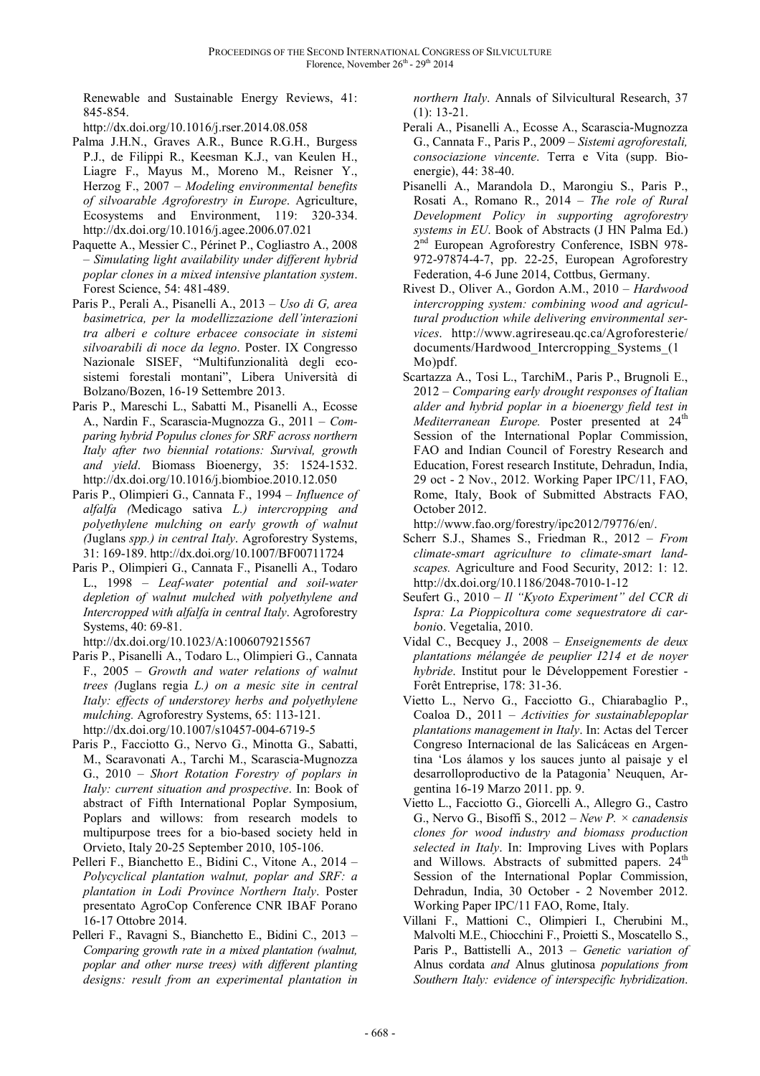Renewable and Sustainable Energy Reviews, 41: 845-854.

http://dx.doi.org/10.1016/j.rser.2014.08.058

- Palma J.H.N., Graves A.R., Bunce R.G.H., Burgess P.J., de Filippi R., Keesman K.J., van Keulen H., Liagre F., Mayus M., Moreno M., Reisner Y., Herzog F., 2007 – *Modeling environmental benefits of silvoarable Agroforestry in Europe*. Agriculture, Ecosystems and Environment, 119: 320-334. http://dx.doi.org/10.1016/j.agee.2006.07.021
- Paquette A., Messier C., Périnet P., Cogliastro A., 2008 – *Simulating light availability under different hybrid poplar clones in a mixed intensive plantation system*. Forest Science, 54: 481-489.
- Paris P., Perali A., Pisanelli A., 2013 *Uso di G, area basimetrica, per la modellizzazione dell'interazioni tra alberi e colture erbacee consociate in sistemi silvoarabili di noce da legno*. Poster. IX Congresso Nazionale SISEF, "Multifunzionalità degli ecosistemi forestali montani", Libera Università di Bolzano/Bozen, 16-19 Settembre 2013.
- Paris P., Mareschi L., Sabatti M., Pisanelli A., Ecosse A., Nardin F., Scarascia-Mugnozza G., 2011 – *Comparing hybrid Populus clones for SRF across northern Italy after two biennial rotations: Survival, growth and yield*. Biomass Bioenergy, 35: 1524-1532. http://dx.doi.org/10.1016/j.biombioe.2010.12.050
- Paris P., Olimpieri G., Cannata F., 1994 *Influence of alfalfa (*Medicago sativa *L.) intercropping and polyethylene mulching on early growth of walnut (*Juglans *spp.) in central Italy*. Agroforestry Systems, 31: 169-189. http://dx.doi.org/10.1007/BF00711724
- Paris P., Olimpieri G., Cannata F., Pisanelli A., Todaro L., 1998 – *Leaf-water potential and soil-water depletion of walnut mulched with polyethylene and Intercropped with alfalfa in central Italy*. Agroforestry Systems, 40: 69-81.

http://dx.doi.org/10.1023/A:1006079215567

- Paris P., Pisanelli A., Todaro L., Olimpieri G., Cannata F., 2005 – *Growth and water relations of walnut trees (*Juglans regia *L.) on a mesic site in central Italy: effects of understorey herbs and polyethylene mulching.* Agroforestry Systems, 65: 113-121. http://dx.doi.org/10.1007/s10457-004-6719-5
- Paris P., Facciotto G., Nervo G., Minotta G., Sabatti, M., Scaravonati A., Tarchi M., Scarascia-Mugnozza G., 2010 – *Short Rotation Forestry of poplars in Italy: current situation and prospective*. In: Book of abstract of Fifth International Poplar Symposium, Poplars and willows: from research models to multipurpose trees for a bio-based society held in Orvieto, Italy 20-25 September 2010, 105-106.
- Pelleri F., Bianchetto E., Bidini C., Vitone A., 2014 *Polycyclical plantation walnut, poplar and SRF: a plantation in Lodi Province Northern Italy*. Poster presentato AgroCop Conference CNR IBAF Porano 16-17 Ottobre 2014.
- Pelleri F., Ravagni S., Bianchetto E., Bidini C., 2013 *Comparing growth rate in a mixed plantation (walnut, poplar and other nurse trees) with different planting designs: result from an experimental plantation in*

*northern Italy*. Annals of Silvicultural Research, 37 (1): 13-21.

- Perali A., Pisanelli A., Ecosse A., Scarascia-Mugnozza G., Cannata F., Paris P., 2009 – *Sistemi agroforestali, consociazione vincente*. Terra e Vita (supp. Bioenergie), 44: 38-40.
- Pisanelli A., Marandola D., Marongiu S., Paris P., Rosati A., Romano R., 2014 – *The role of Rural Development Policy in supporting agroforestry systems in EU*. Book of Abstracts (J HN Palma Ed.) 2<sup>nd</sup> European Agroforestry Conference, ISBN 978-972-97874-4-7, pp. 22-25, European Agroforestry Federation, 4-6 June 2014, Cottbus, Germany.
- Rivest D., Oliver A., Gordon A.M., 2010 *Hardwood intercropping system: combining wood and agricultural production while delivering environmental services*. http://www.agrireseau.qc.ca/Agroforesterie/ documents/Hardwood\_Intercropping\_Systems\_(1 Mo)pdf.
- Scartazza A., Tosi L., TarchiM., Paris P., Brugnoli E., 2012 – *Comparing early drought responses of Italian alder and hybrid poplar in a bioenergy field test in Mediterranean Europe.* Poster presented at 24<sup>th</sup> Session of the International Poplar Commission, FAO and Indian Council of Forestry Research and Education, Forest research Institute, Dehradun, India, 29 oct - 2 Nov., 2012. Working Paper IPC/11, FAO, Rome, Italy, Book of Submitted Abstracts FAO, October 2012.

http://www.fao.org/forestry/ipc2012/79776/en/.

- Scherr S.J., Shames S., Friedman R., 2012 *From climate-smart agriculture to climate-smart landscapes.* Agriculture and Food Security, 2012: 1: 12. http://dx.doi.org/10.1186/2048-7010-1-12
- Seufert G., 2010 *Il "Kyoto Experiment" del CCR di Ispra: La Pioppicoltura come sequestratore di carboni*o. Vegetalia, 2010.
- Vidal C., Becquey J., 2008 *Enseignements de deux plantations mélangée de peuplier I214 et de noyer hybride*. Institut pour le Développement Forestier - Forêt Entreprise, 178: 31-36.
- Vietto L., Nervo G., Facciotto G., Chiarabaglio P., Coaloa D., 2011 – *Activities for sustainablepoplar plantations management in Italy*. In: Actas del Tercer Congreso Internacional de las Salicáceas en Argentina 'Los álamos y los sauces junto al paisaje y el desarrolloproductivo de la Patagonia' Neuquen, Argentina 16-19 Marzo 2011. pp. 9.
- Vietto L., Facciotto G., Giorcelli A., Allegro G., Castro G., Nervo G., Bisoffi S., 2012 – *New P. × canadensis clones for wood industry and biomass production selected in Italy*. In: Improving Lives with Poplars and Willows. Abstracts of submitted papers. 24<sup>th</sup> Session of the International Poplar Commission, Dehradun, India, 30 October - 2 November 2012. Working Paper IPC/11 FAO, Rome, Italy.
- Villani F., Mattioni C., Olimpieri I., Cherubini M., Malvolti M.E., Chiocchini F., Proietti S., Moscatello S., Paris P., Battistelli A., 2013 – *Genetic variation of*  Alnus cordata *and* Alnus glutinosa *populations from Southern Italy: evidence of interspecific hybridization*.